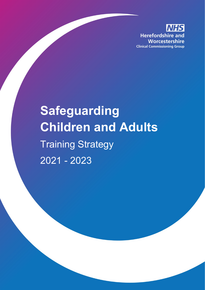**Herefordshire and** Worcestershire **Clinical Commissioning Group** 

# **Safeguarding Children and Adults** Training Strategy 2021 - 2023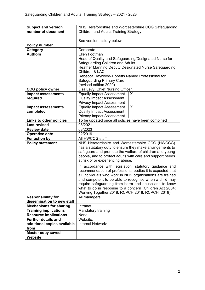| <b>Subject and version</b>               | NHS Herefordshire and Worcestershire CCG Safeguarding                                                                |   |  |  |
|------------------------------------------|----------------------------------------------------------------------------------------------------------------------|---|--|--|
| number of document                       | <b>Children and Adults Training Strategy</b>                                                                         |   |  |  |
|                                          |                                                                                                                      |   |  |  |
|                                          | See version history below                                                                                            |   |  |  |
| <b>Policy number</b>                     |                                                                                                                      |   |  |  |
| Category                                 | Corporate                                                                                                            |   |  |  |
| <b>Authors</b>                           | Ellen Footman                                                                                                        |   |  |  |
|                                          | Head of Quality and Safeguarding/Designated Nurse for                                                                |   |  |  |
|                                          | Safeguarding Children and Adults                                                                                     |   |  |  |
|                                          | Heather Manning Deputy Designated Nurse Safeguarding                                                                 |   |  |  |
|                                          | Children & LAC                                                                                                       |   |  |  |
|                                          | Rebecca Haywood-Tibbetts Named Professional for                                                                      |   |  |  |
|                                          | <b>Safeguarding Primary Care</b>                                                                                     |   |  |  |
|                                          | (revised edition 2020)                                                                                               |   |  |  |
| <b>CCG policy owner</b>                  | Lisa Levy, Chief Nursing Officer                                                                                     |   |  |  |
| <b>Impact assessments</b>                | <b>Equaliy Impact Assessment</b>                                                                                     | X |  |  |
| required                                 | <b>Quality Impact Assessment</b>                                                                                     |   |  |  |
|                                          | <b>Privacy Impact Assessment</b>                                                                                     |   |  |  |
| <b>Impact assessments</b>                | <b>Equaliy Impact Assessment</b>                                                                                     | X |  |  |
| completed                                | <b>Quality Impact Assessment</b>                                                                                     |   |  |  |
| Links to other policies                  | <b>Privacy Impact Assessment</b><br>To be updated once all policies have been combined                               |   |  |  |
| <b>Last revised</b>                      | 08/2021                                                                                                              |   |  |  |
| <b>Review date</b>                       | 08/2023                                                                                                              |   |  |  |
|                                          | 02/2019                                                                                                              |   |  |  |
| <b>Operative date</b>                    | All HWCCG staff                                                                                                      |   |  |  |
| For action by<br><b>Policy statement</b> |                                                                                                                      |   |  |  |
|                                          | NHS Herefordshire and Worcestershire CCG (HWCCG)<br>has a statutory duty to ensure they make arrangements to         |   |  |  |
|                                          |                                                                                                                      |   |  |  |
|                                          | safeguard and promote the welfare of children and young<br>people, and to protect adults with care and support needs |   |  |  |
|                                          | at risk of or experiencing abuse.                                                                                    |   |  |  |
|                                          | In accordance with legislation, statutory guidance and                                                               |   |  |  |
|                                          | recommendation of professional bodies it is expected that                                                            |   |  |  |
|                                          | all individuals who work in NHS organisations are trained                                                            |   |  |  |
|                                          | and competent to be able to recognise when a child may                                                               |   |  |  |
|                                          | require safeguarding from harm and abuse and to know                                                                 |   |  |  |
|                                          | what to do in response to a concern (Children Act 2004;                                                              |   |  |  |
|                                          | Working Together 2018; RCPCH 2018; RCPCH, 2019).                                                                     |   |  |  |
| <b>Responsibility for</b>                | All managers                                                                                                         |   |  |  |
| dissemination to new staff               |                                                                                                                      |   |  |  |
| <b>Mechanisms for sharing</b>            | Intranet                                                                                                             |   |  |  |
| <b>Training implications</b>             | Mandatory training                                                                                                   |   |  |  |
| <b>Resource implications</b>             | None                                                                                                                 |   |  |  |
| <b>Further details and</b>               | Website:                                                                                                             |   |  |  |
| additional copies available              | Internal Network:                                                                                                    |   |  |  |
| from                                     |                                                                                                                      |   |  |  |
| <b>Master copy saved</b>                 |                                                                                                                      |   |  |  |
| <b>Website</b>                           |                                                                                                                      |   |  |  |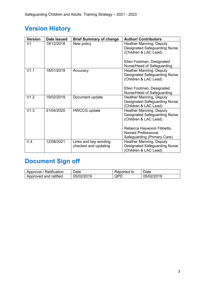# **Version History**

| <b>Version</b> | Date Issued | <b>Brief Summary of change</b> | <b>Author/ Contributors</b>                                                                                                                               |
|----------------|-------------|--------------------------------|-----------------------------------------------------------------------------------------------------------------------------------------------------------|
| V <sub>1</sub> | 19/12/2018  | New policy                     | <b>Heather Manning, Deputy</b><br><b>Designated Safeguarding Nurse</b><br>(Children & LAC Lead)<br>Ellen Footman, Designated                              |
|                |             |                                | Nurse/Head of Safeguarding                                                                                                                                |
| V1.1           | 18/01/2019  | Accuracy                       | <b>Heather Manning, Deputy</b><br><b>Designated Safeguarding Nurse</b><br>(Children & LAC Lead)<br>Ellen Footman, Designated                              |
|                |             |                                | Nurse/Head of Safeguarding                                                                                                                                |
| V1.2           | 19/02/2019  | Document update                | <b>Heather Manning, Deputy</b><br><b>Designated Safeguarding Nurse</b><br>(Children & LAC Lead)                                                           |
| V1.3           | 21/04/2020  | <b>HWCCG update</b>            | <b>Heather Manning, Deputy</b><br><b>Designated Safeguarding Nurse</b><br>(Children & LAC Lead)<br>Rebecca Haywood-Tibbetts,<br><b>Named Professional</b> |
|                |             |                                | Safeguarding (Primary Care)                                                                                                                               |
| V.4            | 12/08/2021  | Links and key wording          | <b>Heather Manning, Deputy</b>                                                                                                                            |
|                |             | checked and updating           | Designated Safeguarding Nurse<br>(Children & LAC Lead)                                                                                                    |

# **Document Sign off**

| Approval / Ratification | Date       | Reported to | Date       |
|-------------------------|------------|-------------|------------|
| Approved and ratified   | 05/02/2019 | QPD         | 05/02/2019 |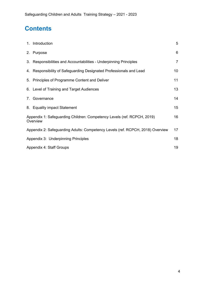# **Contents**

|    | 1. Introduction                                                                     | 5               |
|----|-------------------------------------------------------------------------------------|-----------------|
|    | 2. Purpose                                                                          | 6               |
|    | 3. Responsibilities and Accountabilities - Underpinning Principles                  | $\overline{7}$  |
|    | 4. Responsibility of Safeguarding Designated Professionals and Lead                 | 10 <sup>°</sup> |
|    | 5. Principles of Programme Content and Deliver                                      | 11              |
|    | 6. Level of Training and Target Audiences                                           | 13 <sup>°</sup> |
| 7. | Governance                                                                          | 14              |
|    | 8. Equality impact Statement                                                        | 15 <sub>1</sub> |
|    | Appendix 1: Safeguarding Children: Competency Levels (ref. RCPCH, 2019)<br>Overview | 16              |
|    | Appendix 2: Safeguarding Adults: Competency Levels (ref. RCPCH, 2018) Overview      | 17              |
|    | Appendix 3: Underpinning Principles                                                 | 18              |
|    | Appendix 4: Staff Groups                                                            | 19              |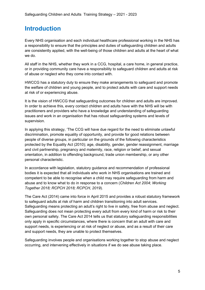#### **Introduction**

Every NHS organisation and each individual healthcare professional working in the NHS has a responsibility to ensure that the principles and duties of safeguarding children and adults are consistently applied, with the well-being of those children and adults at the heart of what we do.

All staff in the NHS, whether they work in a CCG, hospital, a care home, in general practice, or in providing community care have a responsibility to safeguard children and adults at risk of abuse or neglect who they come into contact with.

HWCCG has a statutory duty to ensure they make arrangements to safeguard and promote the welfare of children and young people, and to protect adults with care and support needs at risk of or experiencing abuse.

It is the vision of HWCCG that safeguarding outcomes for children and adults are improved. In order to achieve this, every contact children and adults have with the NHS will be with practitioners and providers who have a knowledge and understanding of safeguarding issues and work in an organisation that has robust safeguarding systems and levels of supervision.

In applying this strategy, 'The CCG will have due regard for the need to eliminate unlawful discrimination, promote equality of opportunity, and provide for good relations between people of diverse groups, in particular on the grounds of the following characteristics protected by the Equality Act (2010); age, disability, gender, gender reassignment, marriage and civil partnership, pregnancy and maternity, race, religion or belief, and sexual orientation, in addition to offending background, trade union membership, or any other personal characteristic.

In accordance with legislation, statutory guidance and recommendation of professional bodies it is expected that all individuals who work in NHS organisations are trained and competent to be able to recognise when a child may require safeguarding from harm and abuse and to know what to do in response to a concern (*Children Act 2004; Working Together 2018; RCPCH 2018; RCPCH, 2019*).

The Care Act (2014) came into force in April 2015 and provides a robust statutory framework to safeguard adults at risk of harm and children transitioning into adult services. Safeguarding means protecting an adult's right to live in safety, free from abuse and neglect. Safeguarding does not mean protecting every adult from every kind of harm or risk to their own personal safety. The Care Act 2014 tells us that statutory safeguarding responsibilities only apply in specific circumstances, where there is concern that an adult with care and support needs, is experiencing or at risk of neglect or abuse, and as a result of their care and support needs, they are unable to protect themselves.

Safeguarding involves people and organisations working together to stop abuse and neglect occurring, and intervening effectively in situations if we do see abuse taking place.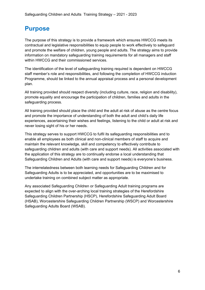#### **Purpose**

The purpose of this strategy is to provide a framework which ensures HWCCG meets its contractual and legislative responsibilities to equip people to work effectively to safeguard and promote the welfare of children, young people and adults. The strategy aims to provide information on mandatory safeguarding training requirements for all managers and staff within HWCCG and their commissioned services.

The identification of the level of safeguarding training required is dependent on HWCCG staff member's role and responsibilities, and following the completion of HWCCG induction Programme, should be linked to the annual appraisal process and a personal development plan.

All training provided should respect diversity (including culture, race, religion and disability), promote equality and encourage the participation of children, families and adults in the safeguarding process.

All training provided should place the child and the adult at risk of abuse as the centre focus and promote the importance of understanding of both the adult and child's daily life experiences, ascertaining their wishes and feelings, listening to the child or adult at risk and never losing sight of his or her needs.

This strategy serves to support HWCCG to fulfil its safeguarding responsibilities and to enable all employees as both clinical and non-clinical members of staff to acquire and maintain the relevant knowledge, skill and competency to effectively contribute to safeguarding children and adults (with care and support needs). All activities associated with the application of this strategy are to continually endorse a local understanding that Safeguarding Children and Adults (with care and support needs) is everyone's business.

The interrelatedness between both learning needs for Safeguarding Children and for Safeguarding Adults is to be appreciated, and opportunities are to be maximised to undertake training on combined subject matter as appropriate.

Any associated Safeguarding Children or Safeguarding Adult training programs are expected to align with the over-arching local training strategies of the Herefordshire Safeguarding Children Partnership (HSCP), Herefordshire Safeguarding Adult Board (HSAB), Worcestershire Safeguarding Children Partnership (WSCP) and Worcestershire Safeguarding Adults Board (WSAB).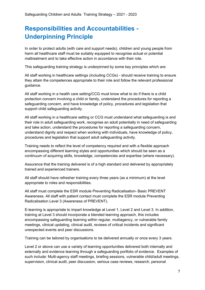## **Responsibilities and Accountabilities - Underpinning Principle**

In order to protect adults (with care and support needs), children and young people from harm all healthcare staff must be suitably equipped to recognise actual or potential maltreatment and to take effective action in accordance with their role.

This safeguarding training strategy is underpinned by some key principles which are:

All staff working in healthcare settings (including CCGs) - should receive training to ensure they attain the competences appropriate to their role and follow the relevant professional guidance.

All staff working in a health care setting/CCG must know what to do if there is a child protection concern involving a child or family, understand the procedures for reporting a safeguarding concern, and have knowledge of policy, procedures and legislation that support child safeguarding activity.

All staff working in a healthcare setting or CCG must understand what safeguarding is and their role in adult safeguarding work, recognise an adult potentially in need of safeguarding and take action, understand the procedures for reporting a safeguarding concern, understand dignity and respect when working with individuals, have knowledge of policy, procedures and legislation that support adult safeguarding activity.

Training needs to reflect the level of competency required and with a flexible approach encompassing different learning styles and opportunities which should be seen as a continuum of acquiring skills, knowledge, competencies and expertise (where necessary).

Assurance that the training delivered is of a high standard and delivered by appropriately trained and experienced trainers.

All staff should have refresher training every three years (as a minimum) at the level appropriate to roles and responsibilities.

All staff must complete the ESR module Preventing Radicalisation- Basic PREVENT Awareness. All staff with patient contact must complete the ESR module Preventing Radicalisation Level 3 (Awareness of PREVENT).

E-learning is appropriate to impart knowledge at Level 1, Level 2 and Level 3. In addition, training at Level 3 should incorporate a blended learning approach, this includes encompassing safeguarding learning within regular, multiagency, or vulnerable family meetings, clinical updating, clinical audit, reviews of critical incidents and significant unexpected events and peer discussions.

Training can be tailored by organisations to be delivered annually or once every 3 years.

Level 2 or above can use a variety of learning opportunities delivered both internally and externally and evidence learning through a safeguarding portfolio of evidence. Examples of such include: Multi-agency staff meetings, briefing sessions, vulnerable child/adult meetings, supervision, clinical audit, peer discussion, serious case reviews, research, personal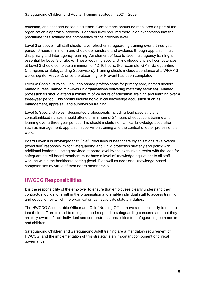reflection, and scenario-based discussion. Competence should be monitored as part of the organisation's appraisal process. For each level required there is an expectation that the practitioner has attained the competency of the previous level.

Level 3 or above – all staff should have refresher safeguarding training over a three-year period (6 hours minimum) and should demonstrate and evidence through appraisal, multidisciplinary and inter-agency learning. An element of face to face multi-agency training is essential for Level 3 or above. Those requiring specialist knowledge and skill competences at Level 3 should complete a minimum of 12-16 hours. (For example, GP's, Safeguarding Champions or Safeguarding Supervisors). Training should include attendance at a WRAP 3 workshop (for Prevent), once the eLearning for Prevent has been completed

Level 4: Specialist roles – includes named professionals for primary care, named doctors, named nurses, named midwives (in organisations delivering maternity services). Named professionals should attend a minimum of 24 hours of education, training and learning over a three-year period. This should include non-clinical knowledge acquisition such as management, appraisal, and supervision training.

Level 5: Specialist roles - designated professionals including lead paediatricians, consultant/lead nurses, should attend a minimum of 24 hours of education, training and learning over a three-year period. This should include non-clinical knowledge acquisition such as management, appraisal, supervision training and the context of other professionals' work.

Board Level: It is envisaged that Chief Executives of healthcare organisations take overall (executive) responsibility for Safeguarding and Child protection strategy and policy with additional leadership being provided at board level by the executive director with the lead for safeguarding. All board members must have a level of knowledge equivalent to all staff working within the healthcare setting (level 1) as well as additional knowledge-based competencies by virtue of their board membership.

#### **HWCCG Responsibilities**

It is the responsibility of the employer to ensure that employees clearly understand their contractual obligations within the organisation and enable individual staff to access training and education by which the organisation can satisfy its statutory duties.

The HWCCG Accountable Officer and Chief Nursing Officer have a responsibility to ensure that their staff are trained to recognise and respond to safeguarding concerns and that they are fully aware of their individual and corporate responsibilities for safeguarding both adults and children.

Safeguarding Children and Safeguarding Adult training are a mandatory requirement of HWCCG, and the implementation of this strategy is an important component of clinical governance.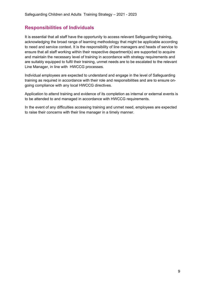#### **Responsibilities of Individuals**

It is essential that all staff have the opportunity to access relevant Safeguarding training, acknowledging the broad range of learning methodology that might be applicable according to need and service context. It is the responsibility of line managers and heads of service to ensure that all staff working within their respective department(s) are supported to acquire and maintain the necessary level of training in accordance with strategy requirements and are suitably equipped to fulfil their training, unmet needs are to be escalated to the relevant Line Manager, in line with HWCCG processes.

Individual employees are expected to understand and engage in the level of Safeguarding training as required in accordance with their role and responsibilities and are to ensure ongoing compliance with any local HWCCG directives.

Application to attend training and evidence of its completion as internal or external events is to be attended to and managed in accordance with HWCCG requirements.

In the event of any difficulties accessing training and unmet need, employees are expected to raise their concerns with their line manager in a timely manner.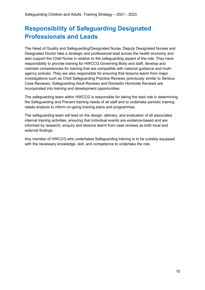## **Responsibility of Safeguarding Designated Professionals and Leads**

The Head of Quality and Safeguarding/Designated Nurse, Deputy Designated Nurses and Designated Doctor take a strategic and professional lead across the health economy and also support the Chief Nurse in relation to the safeguarding aspect of the role. They have responsibility to provide training for HWCCG Governing Body and staff, develop and maintain competencies for training that are compatible with national guidance and multiagency policies. They are also responsible for ensuring that lessons learnt from major investigations such as Child Safeguarding Practice Reviews (previously similar to Serious Case Reviews), Safeguarding Adult Reviews and Domestic Homicide Reviews are incorporated into training and development opportunities.

The safeguarding team within HWCCG is responsible for taking the lead role in determining the Safeguarding and Prevent training needs of all staff and to undertake periodic training needs analysis to inform on-going training plans and programmes.

The safeguarding team will lead on the design, delivery, and evaluation of all associated internal training activities, ensuring that individual events are evidence-based and are informed by research, enquiry and lessons learnt from case reviews as both local and external findings.

Any member of HWCCG who undertakes Safeguarding training is to be suitably equipped with the necessary knowledge, skill, and competence to undertake the role.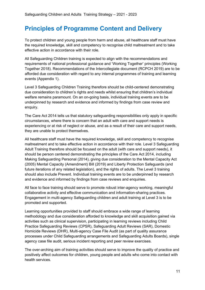#### **Principles of Programme Content and Delivery**

To protect children and young people from harm and abuse, all healthcare staff must have the required knowledge, skill and competency to recognise child maltreatment and to take effective action in accordance with their role.

All Safeguarding Children training is expected to align with the recommendations and requirements of national professional guidance and 'Working Together' principles (Working Together 2018). Recommendations of the Intercollegiate document (RCPCH 2019) are to be afforded due consideration with regard to any internal programmes of training and learning events (Appendix 1).

Level 3 Safeguarding Children Training therefore should be child-centered demonstrating due consideration to children's rights and needs whilst ensuring that children's individual welfare remains paramount. On an on-going basis, individual training events are to be underpinned by research and evidence and informed by findings from case review and enquiry.

The Care Act 2014 tells us that statutory safeguarding responsibilities only apply in specific circumstances, where there is concern that an adult with care and support needs is experiencing or at risk of neglect or abuse, and as a result of their care and support needs, they are unable to protect themselves.

All healthcare staff must have the required knowledge, skill and competency to recognise maltreatment and to take effective action in accordance with their role. Level 3 Safeguarding Adult Training therefore should be focused on the adult (with care and support needs), it should be person centered demonstrating the principles of the Care Act 2014, including Making Safeguarding Personal (2014), giving due consideration to the Mental Capacity Act (2005) Mental Capacity (Amendment) Bill (2019) and Liberty Protection Safeguards (and future iterations of any related legislation), and the rights of adults. The Level 3 training should also include Prevent. Individual training events are to be underpinned by research and evidence and informed by findings from case reviews and enquiries.

All face to face training should serve to promote robust inter-agency working, meaningful collaborative activity and effective communication and information-sharing practices. Engagement in multi-agency Safeguarding children and adult training at Level 3 is to be promoted and supported.

Learning opportunities provided to staff should embrace a wide range of learning methodology and due consideration afforded to knowledge and skill acquisition gained via activities such as clinical supervision, participating in learning reviews including Child Practice Safeguarding Reviews (CPSR), Safeguarding Adult Reviews (SAR), Domestic Homicide Reviews (DHR), Multi-agency Case File Audit (as part of quality assurance processes under Child Safeguarding arrangements and Safeguarding Adults Boards), single agency case file audit, serious incident reporting and peer review exercises.

The over-arching aim of training activities should serve to improve the quality of practice and positively affect outcomes for children, young people and adults who come into contact with health services.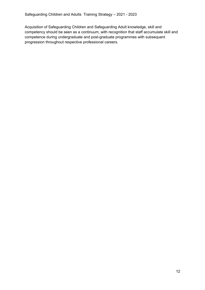Acquisition of Safeguarding Children and Safeguarding Adult knowledge, skill and competency should be seen as a continuum, with recognition that staff accumulate skill and competence during undergraduate and post-graduate programmes with subsequent progression throughout respective professional careers.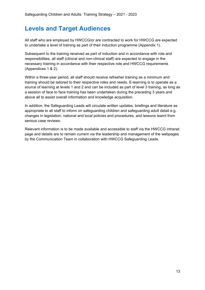#### **Levels and Target Audiences**

All staff who are employed by HWCCG/or are contracted to work for HWCCG are expected to undertake a level of training as part of their induction programme (Appendix 1).

Subsequent to the training received as part of induction and in accordance with role and responsibilities, all staff (clinical and non-clinical staff) are expected to engage in the necessary training in accordance with their respective role and HWCCG requirements (Appendices 1 & 2).

Within a three-year period, all staff should receive refresher training as a minimum and training should be tailored to their respective roles and needs. E-learning is to operate as a source of learning at levels 1 and 2 and can be included as part of level 3 training, as long as a session of face to face training has been undertaken during the preceding 3 years and above all to assist overall information and knowledge acquisition.

In addition, the Safeguarding Leads will circulate written updates, briefings and literature as appropriate to all staff to inform on safeguarding children and safeguarding adult detail e.g. changes in legislation, national and local policies and procedures, and lessons learnt from serious case reviews.

Relevant information is to be made available and accessible to staff via the HWCCG intranet page and details are to remain current via the leadership and management of the webpages by the Communication Team in collaboration with HWCCG Safeguarding Leads.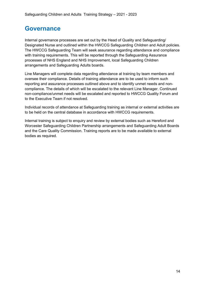#### **Governance**

Internal governance processes are set out by the Head of Quality and Safeguarding/ Designated Nurse and outlined within the HWCCG Safeguarding Children and Adult policies. The HWCCG Safeguarding Team will seek assurance regarding attendance and compliance with training requirements. This will be reported through the Safeguarding Assurance processes of NHS England and NHS Improvement, local Safeguarding Children arrangements and Safeguarding Adults boards.

Line Managers will complete data regarding attendance at training by team members and oversee their compliance. Details of training attendance are to be used to inform such reporting and assurance processes outlined above and to identify unmet needs and noncompliance. The details of which will be escalated to the relevant Line Manager. Continued non-compliance/unmet needs will be escalated and reported to HWCCG Quality Forum and to the Executive Team if not resolved.

Individual records of attendance at Safeguarding training as internal or external activities are to be held on the central database in accordance with HWCCG requirements.

Internal training is subject to enquiry and review by external bodies such as Hereford and Worcester Safeguarding Children Partnership arrangements and Safeguarding Adult Boards and the Care Quality Commission. Training reports are to be made available to external bodies as required.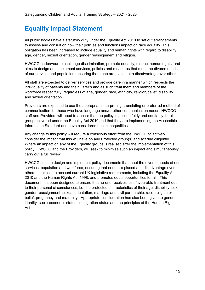#### **Equality Impact Statement**

All public bodies have a statutory duty under the Equality Act 2010 to set out arrangements to assess and consult on how their policies and functions impact on race equality. This obligation has been increased to include equality and human rights with regard to disability, age, gender, sexual orientation, gender reassignment and religion.

HWCCG endeavour to challenge discrimination, promote equality, respect human rights, and aims to design and implement services, policies and measures that meet the diverse needs of our service, and population, ensuring that none are placed at a disadvantage over others.

All staff are expected to deliver services and provide care in a manner which respects the individuality of patients and their Carer's and as such treat them and members of the workforce respectfully, regardless of age, gender, race, ethnicity, religion/belief, disability and sexual orientation.

Providers are expected to use the appropriate interpreting, translating or preferred method of communication for those who have language and/or other communication needs. HWCCG staff and Providers will need to assess that the policy is applied fairly and equitably for all groups covered under the Equality Act 2010 and that they are implementing the Accessible Information Standard and have considered health inequalities.

Any change to this policy will require a conscious effort from the HWCCG to actively consider the impact that this will have on any Protected group(s) and act due diligently. Where an impact on any of the Equality groups is realised after the implementation of this policy, HWCCG and the Providers, will seek to minimise such an impact and simultaneously carry out a full review.

HWCCG aims to design and implement policy documents that meet the diverse needs of our services, population and workforce, ensuring that none are placed at a disadvantage over others. It takes into account current UK legislative requirements, including the Equality Act 2010 and the Human Rights Act 1998, and promotes equal opportunities for all. This document has been designed to ensure that no-one receives less favourable treatment due to their personal circumstances, i.e. the protected characteristics of their age, disability, sex, gender reassignment, sexual orientation, marriage and civil partnership, race, religion or belief, pregnancy and maternity. Appropriate consideration has also been given to gender identity, socio-economic status, immigration status and the principles of the Human Rights Act.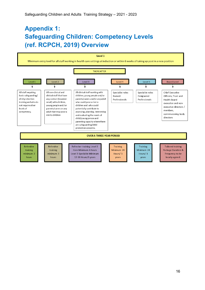## **Appendix 1: Safeguarding Children: Competency Levels (ref. RCPCH, 2019) Overview**

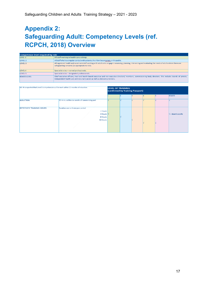# **Appendix 2: Safeguarding Adult: Competency Levels (ref. RCPCH, 2018) Overview**

| <b>Competence level required by role</b> |                                                                                                                                                                                                                                                 |  |  |  |
|------------------------------------------|-------------------------------------------------------------------------------------------------------------------------------------------------------------------------------------------------------------------------------------------------|--|--|--|
| LEVEL 1                                  | All staff working in health care settings.                                                                                                                                                                                                      |  |  |  |
| LEVEL 2                                  | All staff who have regular contact with patients, their families or carers, or the public.                                                                                                                                                      |  |  |  |
| LEVEL 3                                  | All registered health and social care staff working with adults who engage in assessing, planning, intervening and evaluating the needs of adults where there are<br>safeguarding concerns (as appropriate to role).                            |  |  |  |
| LEVEL4                                   | Specialist roles - named professionals.                                                                                                                                                                                                         |  |  |  |
| <b>LEVEL 5</b>                           | Specialist roles - designated professionals.                                                                                                                                                                                                    |  |  |  |
| <b>BOARD LEVEL</b>                       | Chief executive officers, trust and health board executive and non-executive directors/ members, commissioning body directors. This includes boards of private,<br>independent health care and voluntary sector as well as statutory providers. |  |  |  |

| NB: It is expected that Level 3 competencies will be met within 12 months of induction. |                                                                                   | <b>LEVEL OF TRAINING</b><br>(confirmed by Training Passport) |  |  |  |                             |
|-----------------------------------------------------------------------------------------|-----------------------------------------------------------------------------------|--------------------------------------------------------------|--|--|--|-----------------------------|
|                                                                                         |                                                                                   |                                                              |  |  |  | <b>BOARD</b>                |
| <b>INDUCTION</b>                                                                        | 30 mins. within six weeks of commencing post                                      |                                                              |  |  |  |                             |
| <b>REFRESHER TRAINING HOURS</b>                                                         | Duration over a three-year period:<br>2 hours<br>4 hours V<br>8 hours<br>24 hours |                                                              |  |  |  | $\sqrt{ }$ + Board specific |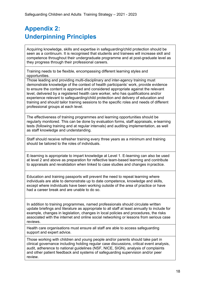# **Appendix 2: Underpinning Principles**

Acquiring knowledge, skills and expertise in safeguarding/child protection should be seen as a continuum. It is recognised that students and trainees will increase skill and competence throughout their undergraduate programme and at post-graduate level as they progress through their professional careers.

Training needs to be flexible, encompassing different learning styles and opportunities.

Those leading and providing multi-disciplinary and inter-agency training must demonstrate knowledge of the context of health participants' work, provide evidence to ensure the content is approved and considered appropriate against the relevant level, delivered by a registered health care worker, who has qualifications and/or experience relevant to safeguarding/child protection and delivery of education and training and should tailor training sessions to the specific roles and needs of different professional groups at each level.

The effectiveness of training programmes and learning opportunities should be regularly monitored. This can be done by evaluation forms, staff appraisals, e-learning tests (following training and at regular intervals) and auditing implementation, as well as staff knowledge and understanding.

Staff should receive refresher training every three years as a minimum and training should be tailored to the roles of individuals.

E-learning is appropriate to impart knowledge at Level 1. E-learning can also be used at level 2 and above as preparation for reflective team-based learning and contribute to appraisals and revalidation when linked to case studies and changes inpractice.

Education and training passports will prevent the need to repeat learning where individuals are able to demonstrate up to date competence, knowledge and skills, except where individuals have been working outside of the area of practice or have had a career break and are unable to do so.

In addition to training programmes, named professionals should circulate written update briefings and literature as appropriate to all staff at least annually to include for example, changes in legislation, changes in local policies and procedures, the risks associated with the internet and online social networking or lessons from serious case reviews.

Health care organisations must ensure all staff are able to access safeguarding support and expert advice.

Those working with children and young people and/or parents should take part in clinical governance including holding regular case discussions, critical event analysis, audit, adherence to national guidelines (NSF, NICE, SIGN), analysis of complaints and other patient feedback and systems of safeguarding supervision and/or peer review.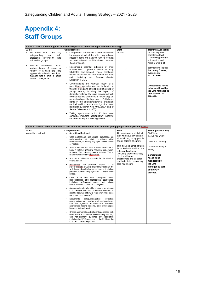# **Appendix 4: Staff Groups**

| Level 1 - All staff including non-clinical managers and staff working in health care settings                                                                                          |                                                                                                                                                                                                                                                                                                                                                                                                                                                                                                                                                                                                                                                          |              |                                                                                                            |  |
|----------------------------------------------------------------------------------------------------------------------------------------------------------------------------------------|----------------------------------------------------------------------------------------------------------------------------------------------------------------------------------------------------------------------------------------------------------------------------------------------------------------------------------------------------------------------------------------------------------------------------------------------------------------------------------------------------------------------------------------------------------------------------------------------------------------------------------------------------------|--------------|------------------------------------------------------------------------------------------------------------|--|
| Aims                                                                                                                                                                                   | <b>Competencies</b>                                                                                                                                                                                                                                                                                                                                                                                                                                                                                                                                                                                                                                      | <b>Staff</b> | <b>Training Availability</b>                                                                               |  |
| To inform staff about key<br>$\bullet$<br>and<br>child<br>safeguarding<br>protection<br>information<br>and<br>vulnerable groups.                                                       | Competence at this level is about individuals<br>$\bullet$<br>knowing what to look for which may indicate<br>possible harm and knowing who to contact<br>and seek advice from if they have concerns.<br>It comprises of:                                                                                                                                                                                                                                                                                                                                                                                                                                 | All staff    | All staff required to<br>complete a level 1<br>E-Learning package<br>at Induction and<br>within 6 weeks of |  |
| Provide<br>about<br>awareness<br>various types of abuse or<br>neglect to a child and take<br>appropriate action to take if you<br>suspect that a child is being<br>abused or neglected | Recognising potential indicators of child<br>٠<br>maltreatment - physical abuse including<br>fabricated and induced illness, emotional<br>abuse, sexual abuse, and neglect including<br>child trafficking and Female Genital<br>Mutilation (FGM).                                                                                                                                                                                                                                                                                                                                                                                                        |              | commencing in post,<br>then every 3 years,<br>available on<br><b>MLCSU/ESR</b>                             |  |
|                                                                                                                                                                                        | Understanding the potential impact of a<br>¢<br>parent/carers physical and mental health on<br>the well- being and development of a child or<br>young person, including the impact of<br>domestic violence the risks associated with<br>the internet and online social networking, an<br>understanding of the importance of children's<br>rights in the safeguarding/child protection<br>context, and the basic knowledge of relevant<br>legislation (Children Acts 1989, 2004 and of<br>Sexual Offences Act 2003).<br>Taking appropriate action if they have<br>٠<br>concerns, including appropriately reporting<br>concerns safely and seeking advice. |              | <b>Competence needs</b><br>to be monitored by<br>the Line Manager as<br>part of the PDR<br>process.        |  |

|                        | Level 2 - All non-clinical and clinical staff who have any contact with children, young people and/or parents/carers                                                                                                                        |                                                                                                                 |                                                       |  |
|------------------------|---------------------------------------------------------------------------------------------------------------------------------------------------------------------------------------------------------------------------------------------|-----------------------------------------------------------------------------------------------------------------|-------------------------------------------------------|--|
| Aims                   | <b>Competencies</b>                                                                                                                                                                                                                         | <b>Staff</b>                                                                                                    | <b>Training Availability</b>                          |  |
| As outlined in level 1 | As outlined for Level 1                                                                                                                                                                                                                     | All non-clinical and clinical<br>staff who have any contact                                                     | Staff to access<br>the MLCSU/ESR                      |  |
|                        | Uses professional and clinical knowledge, an<br>٠<br>understanding of what constitutes child<br>maltreatment, to identify any signs of child abuse                                                                                          | with children, young people<br>and/or parents or carers                                                         | Level 2 E-Learning                                    |  |
|                        | or neglect.<br>Able to identify and refer a child suspected of<br>٠<br>being a victim of trafficking or sexual exploitation;<br>at risk of FGM or having been a victim of FGM at                                                            | This includes administrators<br>for looked after children and<br>safequarding teams                             | (3-4 hours every 3)<br>vears).                        |  |
|                        | risk of exploitation by radicalisers.<br>Acts as an effective advocate for the child or<br>٠<br>young person.                                                                                                                               | (including practice nurses),<br>allied health care<br>practitioners and all other<br>adult orientated secondary | Competence<br>needs to be<br>monitored by             |  |
|                        | Recognises the potential impact of a<br>٠<br>parent's/carer's physical and mental health on the<br>well- being of a child or young person, including<br>possible speech, language and communication<br>needs                                | care health care                                                                                                | the Line<br>Manager as part<br>of the PDR<br>process. |  |
|                        | Clear about own and colleagues' roles,<br>responsibilities, and professional boundaries,<br>including professional abuse and raising<br>concerns about conduct of colleagues.                                                               |                                                                                                                 |                                                       |  |
|                        | As appropriate to role, able to refer to social care<br>٠<br>if a safequarding/child protection concern is<br>identified (aware of how to refer even if role does<br>not encompass referrals).                                              |                                                                                                                 |                                                       |  |
|                        | Documents<br>safeguarding/child<br>protection<br>٠<br>concerns in order to be able to inform the relevant<br>staff and agencies as necessary, maintains<br>appropriate record keeping, and differentiates<br>between fact and opinion.      |                                                                                                                 |                                                       |  |
|                        | Shares appropriate and relevant information with<br>٠<br>other teams Acts in accordance with key statutory<br>and non-statutory guidance and legislation<br>including the UN Convention on the Rights of the<br>Child and Human Rights Act. |                                                                                                                 |                                                       |  |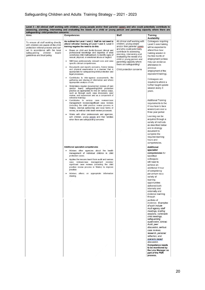| Aims                                                                                                                                                                                                                                                                                                                                                                                                  | Competencies                                                                                                                                                                                                                                                                                                                                                                                                                                                                                                                                                                                                                                                                                                                                                                                                                                                                                                                                                                                                                                                                                                                                                                                                                                                                                                                                                                                                                                                                                                                                                                                                                                                                                                                                                                                        | Staff                                                                                                                                                                                                                                                                                                                         | <b>Training</b>                                                                                                                                                                                                                                                                                                                                                                                                                                                                                                                                                                                                                                                                                                                                                                                                                     |
|-------------------------------------------------------------------------------------------------------------------------------------------------------------------------------------------------------------------------------------------------------------------------------------------------------------------------------------------------------------------------------------------------------|-----------------------------------------------------------------------------------------------------------------------------------------------------------------------------------------------------------------------------------------------------------------------------------------------------------------------------------------------------------------------------------------------------------------------------------------------------------------------------------------------------------------------------------------------------------------------------------------------------------------------------------------------------------------------------------------------------------------------------------------------------------------------------------------------------------------------------------------------------------------------------------------------------------------------------------------------------------------------------------------------------------------------------------------------------------------------------------------------------------------------------------------------------------------------------------------------------------------------------------------------------------------------------------------------------------------------------------------------------------------------------------------------------------------------------------------------------------------------------------------------------------------------------------------------------------------------------------------------------------------------------------------------------------------------------------------------------------------------------------------------------------------------------------------------------|-------------------------------------------------------------------------------------------------------------------------------------------------------------------------------------------------------------------------------------------------------------------------------------------------------------------------------|-------------------------------------------------------------------------------------------------------------------------------------------------------------------------------------------------------------------------------------------------------------------------------------------------------------------------------------------------------------------------------------------------------------------------------------------------------------------------------------------------------------------------------------------------------------------------------------------------------------------------------------------------------------------------------------------------------------------------------------------------------------------------------------------------------------------------------------|
| assessing, planning, intervening and evaluating the needs of a child or young person and parenting capacity where there are<br>safequarding/ child protection concerns<br>To ensure all staff working directly<br>with children are aware of the child<br>protection referral process and can<br>act in accordance with the local<br>safeguarding<br>children<br>board<br>guidelines and trust policy | As outlined for Level 1 and 2: Staff do not need to<br>attend refresher training at Level 1 and 2; Level 3<br>training negates the need to do this<br>Draws on child and family-focused clinical and<br>professional knowledge and expertise of what<br>constitutes child maltreatment, to identify signs of<br>sexual, physical, or emotional abuse or neglect.<br>Will have professionally relevant core and case<br>specific clinical competencies.<br>Documents and reports concerns, history taking<br>and physical examination in a manner that is<br>appropriate for safeguarding/child protection and<br>legal processes.<br>Contributes to inter-agency assessments, the<br>gathering and sharing of information and where<br>appropriate analysis of risk.<br>Undertakes regular documented reviews of own<br>(and/or team) safeguarding/child protection<br>practice as appropriate to role (in various ways,<br>such as through audit, case discussion, peer<br>review, and supervision and as a component of<br>refresher training).<br>Contributes to serious case reviews/case<br>management reviews/significant case reviews<br>(including the child practice review process in<br>Wales), internal partnership and local forms of<br>review, as well as child death review processes.<br>Works with other professionals and agencies,<br>with children, young people and their families<br>when there are safeguarding concerns<br>Additional specialist competencies<br>Advises other agencies about the health<br>management of individual children in child<br>protection cases.<br>Applies the lessons learnt from audit and serious<br>case reviews/case management reviews/<br>significant case reviews (including the child<br>practice review process in Wales) to improve | All clinical staff working with<br>children, young people<br>and/or their parents/ carers<br>and who could potentially<br>contribute to assessing,<br>planning, intervening and<br>evaluating the needs of a<br>child or young person and<br>parenting capacity where<br>there are safeguarding/<br>Child protection concerns | <b>Availability</b><br>Colleagues requiring<br>Level 3 core training<br>will be expected to<br>attend four-hour<br>training session in<br>the first month of<br>employment (unless<br>they can evidence<br>attendance in<br>previous<br>employment of the<br>equivalent training).<br>Colleagues are<br>required to attend a<br>further taught update<br>session every 3<br>years.<br>Additional Training<br>requirements to the<br>4 hour face to face<br>session) are over a<br>three year period<br>Learning can be<br>acquired through a<br>variety of methods<br>as described below<br>and in strategy<br>document to<br>complete the<br>required learning<br>hours and<br>competencies.<br><b>Additional</b><br>specialist<br>competencies for<br>Identified<br>colleagues<br>will need to<br>achieve an<br>additional 4 hour |
|                                                                                                                                                                                                                                                                                                                                                                                                       | practice<br>Advises others on appropriate information<br>sharing.                                                                                                                                                                                                                                                                                                                                                                                                                                                                                                                                                                                                                                                                                                                                                                                                                                                                                                                                                                                                                                                                                                                                                                                                                                                                                                                                                                                                                                                                                                                                                                                                                                                                                                                                   |                                                                                                                                                                                                                                                                                                                               | of competency<br>per annum via a<br>variety of<br>learning<br>opportunities<br>delivered both<br>internally and<br>externally and<br>evidence learning<br>through<br>portfolio of<br>evidence. Examples<br>of such include<br>multi-agency staff<br>meetings, briefing<br>sessions, vulnerable<br>child meetings,<br>safeguarding<br>supervision, clinical:<br>Audit, peer<br>discussion, serious<br>case reviews,<br>research, personal<br>reflection, and<br>scenario based<br>discussion.                                                                                                                                                                                                                                                                                                                                        |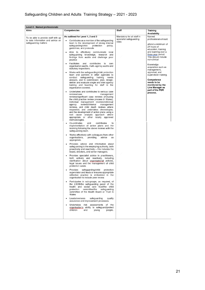| <b>Level 4 - Named professionals</b>                                                             |                                                                                                                                                                                                                                                                                                                                                                                                                                                                                                                                                                                                                                                                                                                                                                                                                                                                                                                                                                                                                                                                                                                                                                                                                                                                                                                                                                                                                                                                                                                                                                                                                                                                                                                                                                                                                                                                                                                                                                                                                                                                                                                                                                                                                                                                                                                                                                                                                                                                                                                                                                                                                                                                         |                                                                |                                                                                                                                                                                                                                                                                                                                                                                 |  |
|--------------------------------------------------------------------------------------------------|-------------------------------------------------------------------------------------------------------------------------------------------------------------------------------------------------------------------------------------------------------------------------------------------------------------------------------------------------------------------------------------------------------------------------------------------------------------------------------------------------------------------------------------------------------------------------------------------------------------------------------------------------------------------------------------------------------------------------------------------------------------------------------------------------------------------------------------------------------------------------------------------------------------------------------------------------------------------------------------------------------------------------------------------------------------------------------------------------------------------------------------------------------------------------------------------------------------------------------------------------------------------------------------------------------------------------------------------------------------------------------------------------------------------------------------------------------------------------------------------------------------------------------------------------------------------------------------------------------------------------------------------------------------------------------------------------------------------------------------------------------------------------------------------------------------------------------------------------------------------------------------------------------------------------------------------------------------------------------------------------------------------------------------------------------------------------------------------------------------------------------------------------------------------------------------------------------------------------------------------------------------------------------------------------------------------------------------------------------------------------------------------------------------------------------------------------------------------------------------------------------------------------------------------------------------------------------------------------------------------------------------------------------------------------|----------------------------------------------------------------|---------------------------------------------------------------------------------------------------------------------------------------------------------------------------------------------------------------------------------------------------------------------------------------------------------------------------------------------------------------------------------|--|
| Aims                                                                                             | <b>Competencies</b>                                                                                                                                                                                                                                                                                                                                                                                                                                                                                                                                                                                                                                                                                                                                                                                                                                                                                                                                                                                                                                                                                                                                                                                                                                                                                                                                                                                                                                                                                                                                                                                                                                                                                                                                                                                                                                                                                                                                                                                                                                                                                                                                                                                                                                                                                                                                                                                                                                                                                                                                                                                                                                                     | Staff                                                          | Training<br>Availability                                                                                                                                                                                                                                                                                                                                                        |  |
| To be able to provide staff with up<br>to date information and advice on<br>safeguarding matters | As outlined for Level 1, 2 and 3<br>Contributes as a member of the safeguarding<br>$\bullet$<br>team to the development of strong internal<br>safeguarding/child<br>protection<br>policy,<br>guidelines, and protocols<br>Able to effectively communicate local<br>$\bullet$<br>safeguarding knowledge, research and<br>findings from audits and challenge poor<br>practice<br>Facilitates<br>and<br>contributes<br>to<br>own<br>organisation audits, multi-agency audits and<br>statutory inspections.<br>Works with the safeguarding/child protection<br>team and partners in other agencies to<br>conduct safeguarding training needs<br>analysis, and to commission, plan, design,<br>deliver and evaluate single and inter-agency<br>training and teaching for staff in the<br>organisation covered.<br>Undertakes and contributes to serious case<br>$\bullet$<br>reviews/case<br>management<br>reviews/significant case reviews (including<br>the child practice review process in Wales),<br>individual management reviews/individual<br>agency<br>reviews/internal<br>management<br>reviews, and child death reviews where<br>requested, and undertakes chronologies,<br>and the development of action plans using a<br>root cause analysis approach where<br>appropriate or other<br>locally approved<br>methodologies.<br>Co-ordinates<br>and<br>contributes<br>to<br>implementation of action plans and the<br>learning following the above reviews with the<br>safeguarding team.<br>Works effectively with colleagues from other<br>٠<br>organisations,<br>providing<br>advice<br>as<br>appropriate.<br>Provides advice and information about<br>safeguarding to the employing authority, both<br>proactively and reactively - this includes the<br>board, directors, and senior managers.<br>Provides specialist advice to practitioners,<br>both actively and reactively, including<br>clarification about organisational policies,<br>legal issues and the management of child<br>protection cases.<br>Provides<br>safeguarding/child<br>protection<br>٠<br>supervision and leads or ensures appropriate<br>reflective practice is embedded in the<br>organisation to include peer review.<br>Participates in sub-groups, as required, of<br>the LSCB/the safeguarding panel of the<br>health and social care trust/the child<br>safequarding<br>protection<br>committee/the<br>committee of the Health Board or Trust in<br>Wales<br>Leads/oversees<br>safeguarding<br>quality<br>assurance and improvement processes.<br>Undertakes risk assessments<br>of the<br>organisation's ability to safeguard/protect<br>children<br>people.<br>and<br>young | Mandatory for all staff in<br>specialist safeguarding<br>roles | Named<br>professionals should<br>attend a minimum of<br>24 hours of<br>education, training<br>and learning over a<br>three year period.<br>This should include<br>non-clinical<br>Knowledge<br>acquisition such as<br>management,<br>appraisal, and<br>supervision training.<br>Competence<br>needs to be<br>monitored by the<br>Line Manager as<br>part of the PDR<br>process. |  |
|                                                                                                  |                                                                                                                                                                                                                                                                                                                                                                                                                                                                                                                                                                                                                                                                                                                                                                                                                                                                                                                                                                                                                                                                                                                                                                                                                                                                                                                                                                                                                                                                                                                                                                                                                                                                                                                                                                                                                                                                                                                                                                                                                                                                                                                                                                                                                                                                                                                                                                                                                                                                                                                                                                                                                                                                         |                                                                |                                                                                                                                                                                                                                                                                                                                                                                 |  |